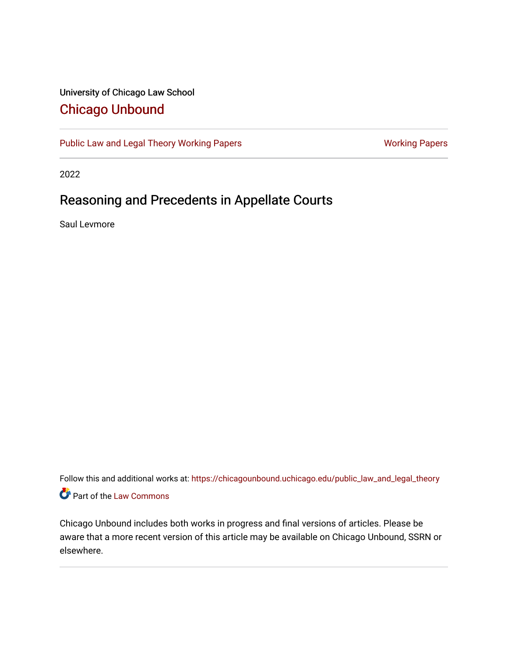## University of Chicago Law School [Chicago Unbound](https://chicagounbound.uchicago.edu/)

[Public Law and Legal Theory Working Papers](https://chicagounbound.uchicago.edu/public_law_and_legal_theory) **[Working Papers](https://chicagounbound.uchicago.edu/working_papers) Working Papers** Working Papers

2022

## Reasoning and Precedents in Appellate Courts

Saul Levmore

Follow this and additional works at: [https://chicagounbound.uchicago.edu/public\\_law\\_and\\_legal\\_theory](https://chicagounbound.uchicago.edu/public_law_and_legal_theory?utm_source=chicagounbound.uchicago.edu%2Fpublic_law_and_legal_theory%2F726&utm_medium=PDF&utm_campaign=PDFCoverPages)  Part of the [Law Commons](http://network.bepress.com/hgg/discipline/578?utm_source=chicagounbound.uchicago.edu%2Fpublic_law_and_legal_theory%2F726&utm_medium=PDF&utm_campaign=PDFCoverPages)

Chicago Unbound includes both works in progress and final versions of articles. Please be aware that a more recent version of this article may be available on Chicago Unbound, SSRN or elsewhere.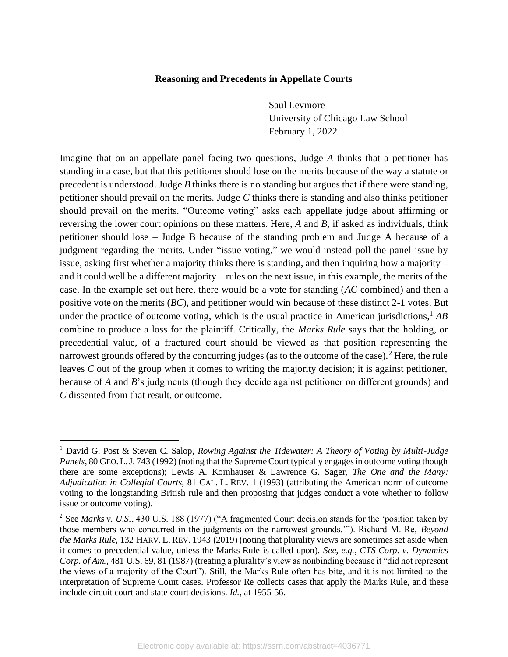## **Reasoning and Precedents in Appellate Courts**

Saul Levmore University of Chicago Law School February 1, 2022

Imagine that on an appellate panel facing two questions, Judge *A* thinks that a petitioner has standing in a case, but that this petitioner should lose on the merits because of the way a statute or precedent is understood. Judge *B* thinks there is no standing but argues that if there were standing, petitioner should prevail on the merits. Judge *C* thinks there is standing and also thinks petitioner should prevail on the merits. "Outcome voting" asks each appellate judge about affirming or reversing the lower court opinions on these matters. Here, *A* and *B,* if asked as individuals, think petitioner should lose – Judge B because of the standing problem and Judge A because of a judgment regarding the merits. Under "issue voting," we would instead poll the panel issue by issue, asking first whether a majority thinks there is standing, and then inquiring how a majority – and it could well be a different majority – rules on the next issue, in this example, the merits of the case. In the example set out here, there would be a vote for standing (*AC* combined) and then a positive vote on the merits (*BC*), and petitioner would win because of these distinct 2-1 votes. But under the practice of outcome voting, which is the usual practice in American jurisdictions,<sup>1</sup> *AB* combine to produce a loss for the plaintiff. Critically, the *Marks Rule* says that the holding, or precedential value, of a fractured court should be viewed as that position representing the narrowest grounds offered by the concurring judges (as to the outcome of the case).<sup>2</sup> Here, the rule leaves *C* out of the group when it comes to writing the majority decision; it is against petitioner, because of *A* and *B*'s judgments (though they decide against petitioner on different grounds) and *C* dissented from that result, or outcome.

<sup>1</sup> David G. Post & Steven C. Salop, *Rowing Against the Tidewater: A Theory of Voting by Multi-Judge Panels,* 80 GEO.L.J. 743 (1992) (noting that the Supreme Court typically engages in outcome voting though there are some exceptions); Lewis A. Kornhauser & Lawrence G. Sager, *The One and the Many: Adjudication in Collegial Courts*, 81 CAL. L. REV. 1 (1993) (attributing the American norm of outcome voting to the longstanding British rule and then proposing that judges conduct a vote whether to follow issue or outcome voting).

<sup>&</sup>lt;sup>2</sup> See *Marks v. U.S.*, 430 U.S. 188 (1977) ("A fragmented Court decision stands for the 'position taken by those members who concurred in the judgments on the narrowest grounds.'"). Richard M. Re, *Beyond the Marks Rule*, 132 HARV. L. REV. 1943 (2019) (noting that plurality views are sometimes set aside when it comes to precedential value, unless the Marks Rule is called upon). *See, e.g.*, *CTS Corp. v. Dynamics Corp. of Am.*, 481 U.S. 69, 81 (1987) (treating a plurality's view as nonbinding because it "did not represent the views of a majority of the Court"). Still, the Marks Rule often has bite, and it is not limited to the interpretation of Supreme Court cases. Professor Re collects cases that apply the Marks Rule, and these include circuit court and state court decisions. *Id.*, at 1955-56.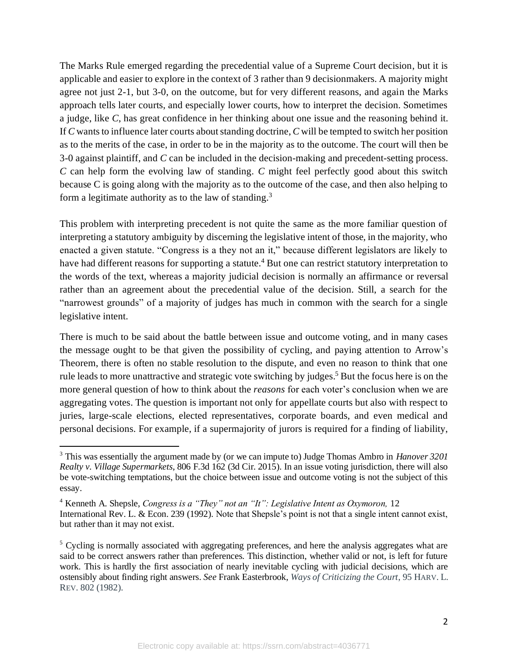The Marks Rule emerged regarding the precedential value of a Supreme Court decision, but it is applicable and easier to explore in the context of 3 rather than 9 decisionmakers. A majority might agree not just 2-1, but 3-0, on the outcome, but for very different reasons, and again the Marks approach tells later courts, and especially lower courts, how to interpret the decision. Sometimes a judge, like *C*, has great confidence in her thinking about one issue and the reasoning behind it. If *C* wants to influence later courts about standing doctrine, *C* will be tempted to switch her position as to the merits of the case, in order to be in the majority as to the outcome. The court will then be 3-0 against plaintiff, and *C* can be included in the decision-making and precedent-setting process. *C* can help form the evolving law of standing. *C* might feel perfectly good about this switch because C is going along with the majority as to the outcome of the case, and then also helping to form a legitimate authority as to the law of standing.<sup>3</sup>

This problem with interpreting precedent is not quite the same as the more familiar question of interpreting a statutory ambiguity by discerning the legislative intent of those, in the majority, who enacted a given statute. "Congress is a they not an it," because different legislators are likely to have had different reasons for supporting a statute.<sup>4</sup> But one can restrict statutory interpretation to the words of the text, whereas a majority judicial decision is normally an affirmance or reversal rather than an agreement about the precedential value of the decision. Still, a search for the "narrowest grounds" of a majority of judges has much in common with the search for a single legislative intent.

There is much to be said about the battle between issue and outcome voting, and in many cases the message ought to be that given the possibility of cycling, and paying attention to Arrow's Theorem, there is often no stable resolution to the dispute, and even no reason to think that one rule leads to more unattractive and strategic vote switching by judges. <sup>5</sup> But the focus here is on the more general question of how to think about the *reasons* for each voter's conclusion when we are aggregating votes. The question is important not only for appellate courts but also with respect to juries, large-scale elections, elected representatives, corporate boards, and even medical and personal decisions. For example, if a supermajority of jurors is required for a finding of liability,

<sup>3</sup> This was essentially the argument made by (or we can impute to) Judge Thomas Ambro in *Hanover 3201 Realty v. Village Supermarkets*, 806 F.3d 162 (3d Cir. 2015). In an issue voting jurisdiction, there will also be vote-switching temptations, but the choice between issue and outcome voting is not the subject of this essay.

<sup>4</sup> Kenneth A. Shepsle, *Congress is a "They" not an "It": Legislative Intent as Oxymoron,* 12 International Rev. L. & Econ. 239 (1992). Note that Shepsle's point is not that a single intent cannot exist, but rather than it may not exist.

<sup>&</sup>lt;sup>5</sup> Cycling is normally associated with aggregating preferences, and here the analysis aggregates what are said to be correct answers rather than preferences. This distinction, whether valid or not, is left for future work. This is hardly the first association of nearly inevitable cycling with judicial decisions, which are ostensibly about finding right answers. *See* Frank Easterbrook, *Ways of Criticizing the Court*, 95 HARV. L. REV. 802 (1982).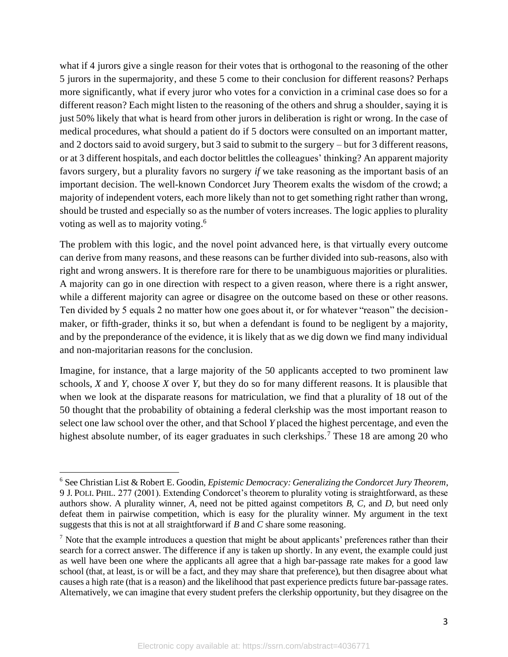what if 4 jurors give a single reason for their votes that is orthogonal to the reasoning of the other 5 jurors in the supermajority, and these 5 come to their conclusion for different reasons? Perhaps more significantly, what if every juror who votes for a conviction in a criminal case does so for a different reason? Each might listen to the reasoning of the others and shrug a shoulder, saying it is just 50% likely that what is heard from other jurors in deliberation is right or wrong. In the case of medical procedures, what should a patient do if 5 doctors were consulted on an important matter, and 2 doctors said to avoid surgery, but 3 said to submit to the surgery – but for 3 different reasons, or at 3 different hospitals, and each doctor belittles the colleagues' thinking? An apparent majority favors surgery, but a plurality favors no surgery *if* we take reasoning as the important basis of an important decision. The well-known Condorcet Jury Theorem exalts the wisdom of the crowd; a majority of independent voters, each more likely than not to get something right rather than wrong, should be trusted and especially so as the number of voters increases. The logic applies to plurality voting as well as to majority voting. 6

The problem with this logic, and the novel point advanced here, is that virtually every outcome can derive from many reasons, and these reasons can be further divided into sub-reasons, also with right and wrong answers. It is therefore rare for there to be unambiguous majorities or pluralities. A majority can go in one direction with respect to a given reason, where there is a right answer, while a different majority can agree or disagree on the outcome based on these or other reasons. Ten divided by 5 equals 2 no matter how one goes about it, or for whatever "reason" the decisionmaker, or fifth-grader, thinks it so, but when a defendant is found to be negligent by a majority, and by the preponderance of the evidence, it is likely that as we dig down we find many individual and non-majoritarian reasons for the conclusion.

Imagine, for instance, that a large majority of the 50 applicants accepted to two prominent law schools, *X* and *Y*, choose *X* over *Y*, but they do so for many different reasons. It is plausible that when we look at the disparate reasons for matriculation, we find that a plurality of 18 out of the 50 thought that the probability of obtaining a federal clerkship was the most important reason to select one law school over the other, and that School *Y* placed the highest percentage, and even the highest absolute number, of its eager graduates in such clerkships.<sup>7</sup> These 18 are among 20 who

<sup>6</sup> See Christian List & Robert E. Goodin, *Epistemic Democracy: Generalizing the Condorcet Jury Theorem*, 9 J. POLI. PHIL. 277 (2001). Extending Condorcet's theorem to plurality voting is straightforward, as these authors show. A plurality winner, *A*, need not be pitted against competitors *B*, *C*, and *D*, but need only defeat them in pairwise competition, which is easy for the plurality winner. My argument in the text suggests that this is not at all straightforward if *B* and *C* share some reasoning.

 $<sup>7</sup>$  Note that the example introduces a question that might be about applicants' preferences rather than their</sup> search for a correct answer. The difference if any is taken up shortly. In any event, the example could just as well have been one where the applicants all agree that a high bar-passage rate makes for a good law school (that, at least, is or will be a fact, and they may share that preference), but then disagree about what causes a high rate (that is a reason) and the likelihood that past experience predicts future bar-passage rates. Alternatively, we can imagine that every student prefers the clerkship opportunity, but they disagree on the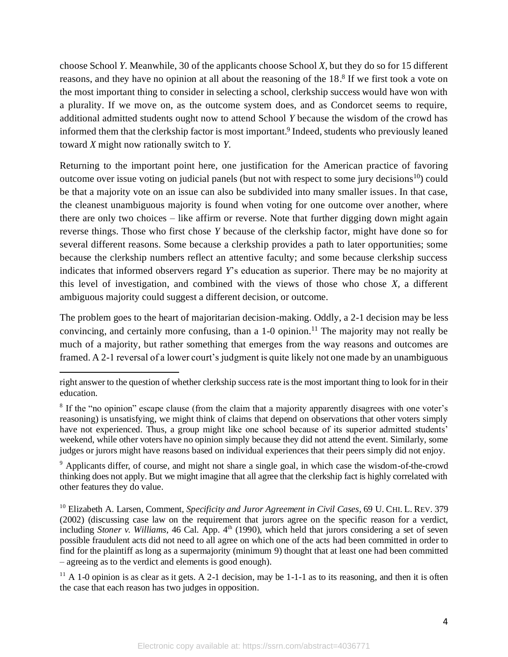choose School *Y*. Meanwhile, 30 of the applicants choose School *X*, but they do so for 15 different reasons, and they have no opinion at all about the reasoning of the 18.<sup>8</sup> If we first took a vote on the most important thing to consider in selecting a school, clerkship success would have won with a plurality. If we move on, as the outcome system does, and as Condorcet seems to require, additional admitted students ought now to attend School *Y* because the wisdom of the crowd has informed them that the clerkship factor is most important. 9 Indeed, students who previously leaned toward *X* might now rationally switch to *Y*.

Returning to the important point here, one justification for the American practice of favoring outcome over issue voting on judicial panels (but not with respect to some jury decisions<sup>10</sup>) could be that a majority vote on an issue can also be subdivided into many smaller issues. In that case, the cleanest unambiguous majority is found when voting for one outcome over another, where there are only two choices – like affirm or reverse. Note that further digging down might again reverse things. Those who first chose *Y* because of the clerkship factor, might have done so for several different reasons. Some because a clerkship provides a path to later opportunities; some because the clerkship numbers reflect an attentive faculty; and some because clerkship success indicates that informed observers regard *Y*'s education as superior. There may be no majority at this level of investigation, and combined with the views of those who chose *X,* a different ambiguous majority could suggest a different decision, or outcome.

The problem goes to the heart of majoritarian decision-making. Oddly, a 2-1 decision may be less convincing, and certainly more confusing, than a  $1\n-0$  opinion.<sup>11</sup> The majority may not really be much of a majority, but rather something that emerges from the way reasons and outcomes are framed. A 2-1 reversal of a lower court's judgment is quite likely not one made by an unambiguous

 $9$  Applicants differ, of course, and might not share a single goal, in which case the wisdom-of-the-crowd thinking does not apply. But we might imagine that all agree that the clerkship fact is highly correlated with other features they do value.

<sup>10</sup> Elizabeth A. Larsen, Comment, *Specificity and Juror Agreement in Civil Cases*, 69 U. CHI. L. REV. 379 (2002) (discussing case law on the requirement that jurors agree on the specific reason for a verdict, including *Stoner v. Williams,* 46 Cal. App. 4<sup>th</sup> (1990), which held that jurors considering a set of seven possible fraudulent acts did not need to all agree on which one of the acts had been committed in order to find for the plaintiff as long as a supermajority (minimum 9) thought that at least one had been committed – agreeing as to the verdict and elements is good enough).

 $11$  A 1-0 opinion is as clear as it gets. A 2-1 decision, may be 1-1-1 as to its reasoning, and then it is often the case that each reason has two judges in opposition.

right answer to the question of whether clerkship success rate is the most important thing to look for in their education.

<sup>&</sup>lt;sup>8</sup> If the "no opinion" escape clause (from the claim that a majority apparently disagrees with one voter's reasoning) is unsatisfying, we might think of claims that depend on observations that other voters simply have not experienced. Thus, a group might like one school because of its superior admitted students' weekend, while other voters have no opinion simply because they did not attend the event. Similarly, some judges or jurors might have reasons based on individual experiences that their peers simply did not enjoy.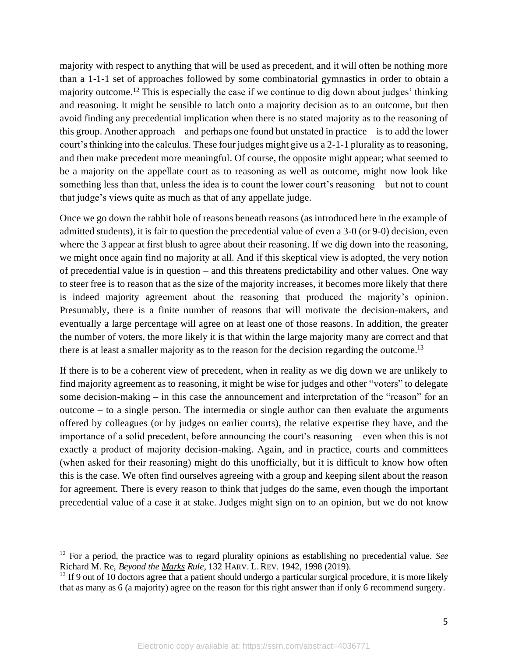majority with respect to anything that will be used as precedent, and it will often be nothing more than a 1-1-1 set of approaches followed by some combinatorial gymnastics in order to obtain a majority outcome.<sup>12</sup> This is especially the case if we continue to dig down about judges' thinking and reasoning. It might be sensible to latch onto a majority decision as to an outcome, but then avoid finding any precedential implication when there is no stated majority as to the reasoning of this group. Another approach – and perhaps one found but unstated in practice – is to add the lower court's thinking into the calculus. These four judges might give us a 2-1-1 plurality as to reasoning, and then make precedent more meaningful. Of course, the opposite might appear; what seemed to be a majority on the appellate court as to reasoning as well as outcome, might now look like something less than that, unless the idea is to count the lower court's reasoning – but not to count that judge's views quite as much as that of any appellate judge.

Once we go down the rabbit hole of reasons beneath reasons (as introduced here in the example of admitted students), it is fair to question the precedential value of even a 3-0 (or 9-0) decision, even where the 3 appear at first blush to agree about their reasoning. If we dig down into the reasoning, we might once again find no majority at all. And if this skeptical view is adopted, the very notion of precedential value is in question – and this threatens predictability and other values. One way to steer free is to reason that as the size of the majority increases, it becomes more likely that there is indeed majority agreement about the reasoning that produced the majority's opinion. Presumably, there is a finite number of reasons that will motivate the decision-makers, and eventually a large percentage will agree on at least one of those reasons. In addition, the greater the number of voters, the more likely it is that within the large majority many are correct and that there is at least a smaller majority as to the reason for the decision regarding the outcome.<sup>13</sup>

If there is to be a coherent view of precedent, when in reality as we dig down we are unlikely to find majority agreement as to reasoning, it might be wise for judges and other "voters" to delegate some decision-making – in this case the announcement and interpretation of the "reason" for an outcome – to a single person. The intermedia or single author can then evaluate the arguments offered by colleagues (or by judges on earlier courts), the relative expertise they have, and the importance of a solid precedent, before announcing the court's reasoning – even when this is not exactly a product of majority decision-making. Again, and in practice, courts and committees (when asked for their reasoning) might do this unofficially, but it is difficult to know how often this is the case. We often find ourselves agreeing with a group and keeping silent about the reason for agreement. There is every reason to think that judges do the same, even though the important precedential value of a case it at stake. Judges might sign on to an opinion, but we do not know

<sup>12</sup> For a period, the practice was to regard plurality opinions as establishing no precedential value. *See* Richard M. Re, *Beyond the Marks Rule*, 132 HARV. L. REV. 1942, 1998 (2019).

<sup>&</sup>lt;sup>13</sup> If 9 out of 10 doctors agree that a patient should undergo a particular surgical procedure, it is more likely that as many as 6 (a majority) agree on the reason for this right answer than if only 6 recommend surgery.